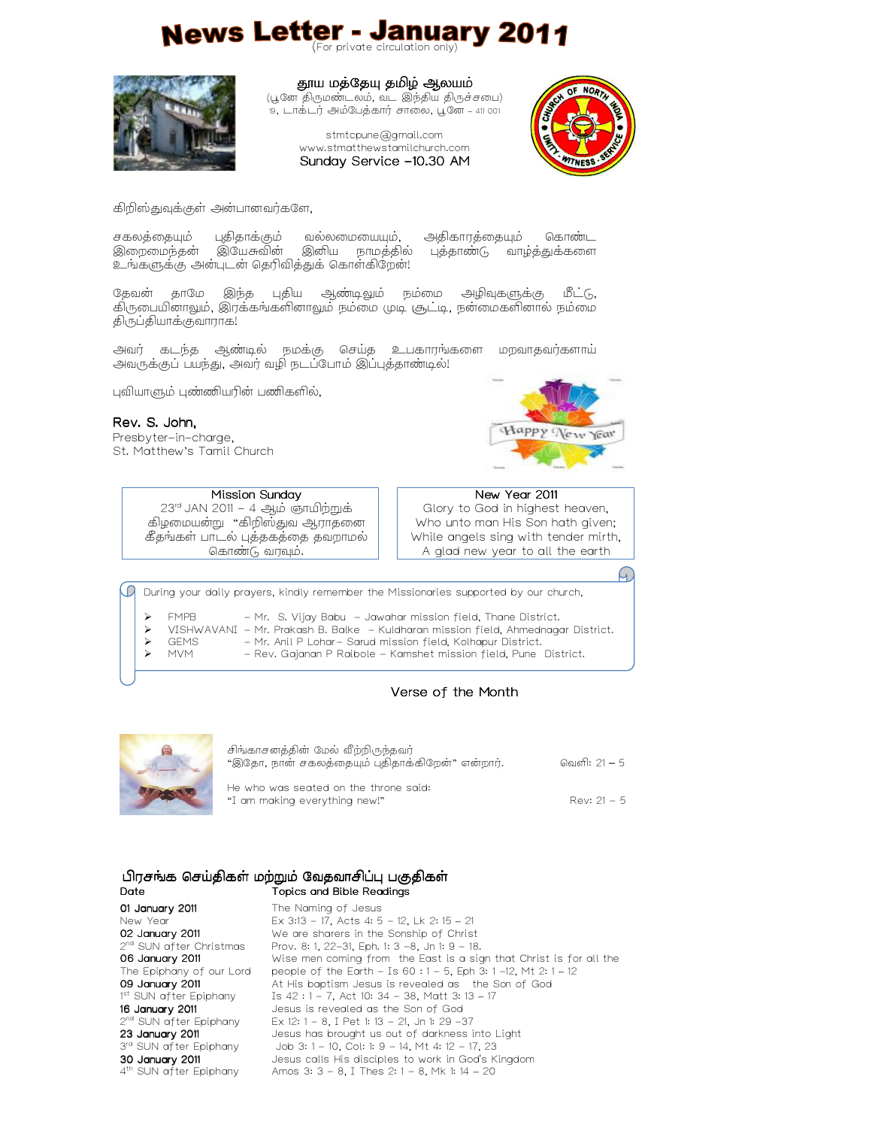# News Letter - January 2011



தூய மத்தேயு தமிழ் ஆலயம்

(பூனே திருமண்டலம், வட இந்திய திருச்சபை) 19, #./#0 1+2.0 ).\*, – 411 001

> stmtcpune@gmail.com www.stmatthewstamilchurch.com Sunday Service -10.30 AM



கிறிஸ்துவுக்குள் அன்பானவர்களே,

சகலத்தையும் புதிதாக்கும் வல்லமையையும், அதிகாரத்தையும் கொண்ட<br>இறைமைந்தன் இயேசுவின் இனிய நாமத்தில் புத்தாண்டு வாழ்த்துக்களை இனிய நாமத்தில் புத்தாண்டு வாழ்த்துக்களை உங்களுக்கு அன்புடன் தெரிவித்துக் கொள்கிறேன்!

தேவன் தாமே இந்த புதிய ஆண்டிலும் நம்மை அழிவுகளுக்கு மீட்டு, கிருபையினாலும், இரக்கங்களினாலும் நம்மை முடி சூட்டி, நன்மைகளினால் நம்மை திருப்தியாக்குவாராக!

அவர் கடந்த ஆண்டில் நமக்கு செய்த உபகாரங்களை மறவாதவர்களாய் அவருக்குப் பயந்து, அவர் வழி நடப்போம் இப்புத்தாண்டில்!

புவியாளும் புண்ணியரின் பணிகளில்,

Rev. S. John,

Presbyter-in-charge, St. Matthew's Tamil Church Happy New Year

G.

| Mission Sunday                                                                                           | New Year 2011                                                                                               |
|----------------------------------------------------------------------------------------------------------|-------------------------------------------------------------------------------------------------------------|
| $23rd$ JAN 2011 – 4 ஆம் ஞாயிற்றுக்<br>கிழமையன்று  "கிறிஸ்துவ ஆராதனை<br>கீதங்கள் பாடல் புத்தகத்தை தவறாமல் | Glory to God in highest heaven,<br>Who unto man His Son hath given;<br>While angels sing with tender mirth, |
| கொண்டு வரவும்.                                                                                           | A glad new year to all the earth                                                                            |
|                                                                                                          |                                                                                                             |
| During your daily prayers, kindly remember the Missionaries supported by our church                      |                                                                                                             |

ing your daily prayers, kindly remember the Missionaries supported by our church,

FMPB - Mr. S. Vijay Babu - Jawahar mission field, Thane District.

VISHWAVANI - Mr. Prakash B. Balke - Kuldharan mission field, Ahmednagar District.

- → GEMS Mr. Anil P Lohar- Sarud mission field, Kolhapur District.<br>→ MVM Rev. Gaianan P Raibole Kamshet mission field. Pune
- 

- Rev. Gajanan P Raibole - Kamshet mission field, Pune District.

# Verse of the Month



| சிங்காசனத்தின் மேல் வீற்றிருந்தவர்<br>"இதோ, நான் சகலத்தையும் புதிதாக்கிறேன்" என்றார். | வெளி: 21 – 5  |
|---------------------------------------------------------------------------------------|---------------|
| He who was seated on the throne said:<br>"I am making everything new!"                | Rev: $21 - 5$ |

|                                     | பிரசங்க செய்திகள் மற்றும் வேதவாசிப்பு பகுதிகள்                     |
|-------------------------------------|--------------------------------------------------------------------|
| Date                                | Topics and Bible Readings                                          |
| 01 January 2011                     | The Naming of Jesus                                                |
| New Year                            | Ex $3:13 - 17$ , Acts 4: 5 - 12, Lk 2: 15 - 21                     |
| 02 January 2011                     | We are sharers in the Sonship of Christ                            |
| 2 <sup>nd</sup> SUN after Christmas | Prov. 8: 1, 22–31, Eph. 1: 3 –8, Jn 1: 9 – 18.                     |
| 06 January 2011                     | Wise men coming from the East is a sign that Christ is for all the |
| The Epiphany of our Lord            | people of the Earth - Is $60:1 - 5$ , Eph 3: 1 -12, Mt 2: 1 - 12   |
| 09 January 2011                     | At His baptism Jesus is revealed as the Son of God                 |
| 1st SUN after Epiphany              | Is 42 : 1 – 7, Act 10: 34 – 38, Matt 3: 13 – 17                    |
| 16 January 2011                     | Jesus is revealed as the Son of God                                |
| 2 <sup>nd</sup> SUN after Epiphany  | Ex 12: 1 - 8. I Pet 1: 13 - 21. Jn 1: 29 -37                       |
| 23 January 2011                     | Jesus has brought us out of darkness into Light                    |
| 3 <sup>rd</sup> SUN after Epiphany  | Job 3: 1 – 10, Col: 1: 9 – 14, Mt 4: 12 – 17, 23                   |

30 January 2011 4 th SUN after Epiphany Jesus calls His disciples to work in God's Kingdom Amos 3: 3 - 8, I Thes 2: 1 - 8, Mk 1: 14 – 20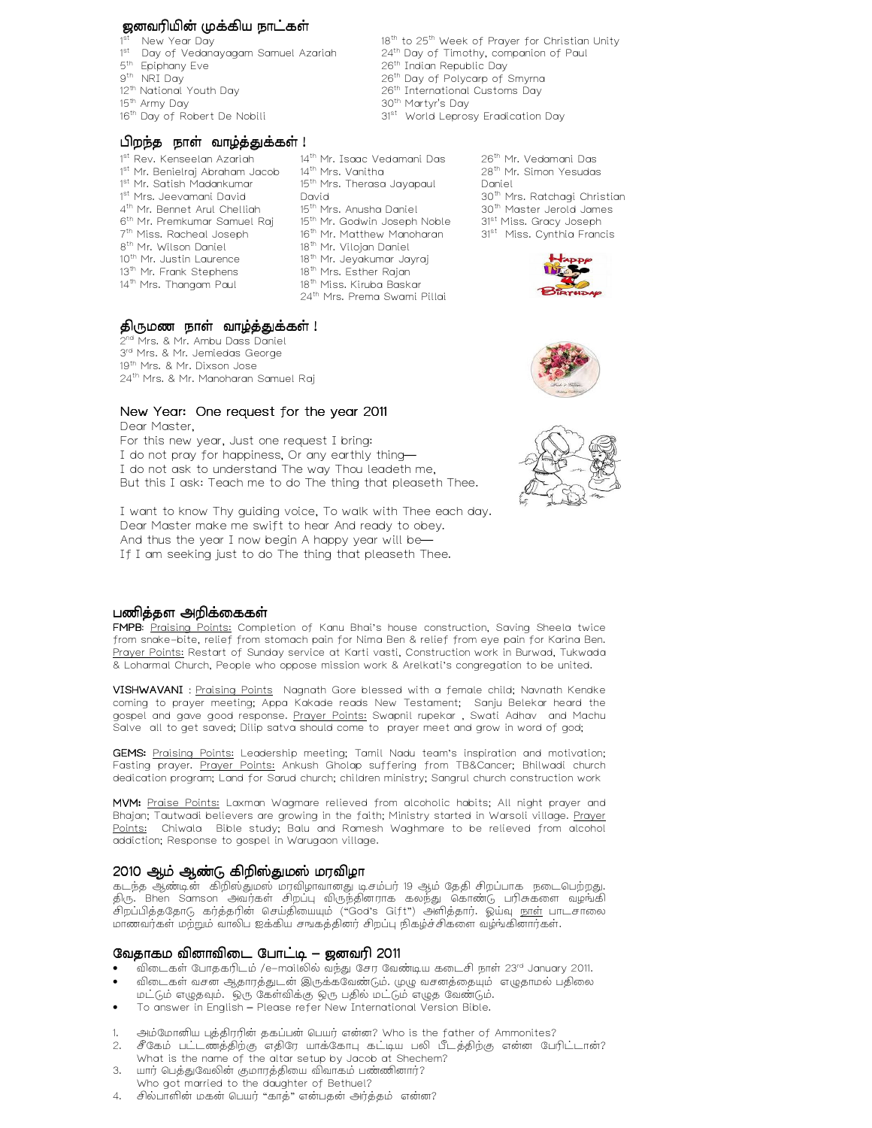#### ஜனவரியின் முக்கிய நாட்கள்

- 1st New Year Day
- 1<sup>st</sup> Day of Vedanayagam Samuel Azariah
- 5<sup>th</sup> Epiphany Eve
- 9 th NRI Day
- 12<sup>th</sup> National Youth Day
- 15<sup>th</sup> Army Day
- 16<sup>th</sup> Day of Robert De Nobili

#### பிறந்த நாள் வாழ்த்துக்கள்!

- 1<sup>st</sup> Rev. Kenseelan Azariah 1<sup>st</sup> Mr. Benielraj Abraham Jacob 14<sup>th</sup> Mrs. Vanitha 1<sup>st</sup> Mr. Satish Madankumar 1<sup>st</sup> Mrs. Jeevamani David 4 th Mr. Bennet Arul Chelliah 6<sup>th</sup> Mr. Premkumar Samuel Raj 15<sup>th</sup> Mr. Godwin Joseph Noble 7 th Miss. Racheal Joseph 16 th Mr. Matthew Manoharan 8 th Mr. Wilson Daniel 10<sup>th</sup> Mr. Justin Laurence 13<sup>th</sup> Mr. Frank Stephens 14 th Mrs. Thangam Paul
- 14 th Mr. Isaac Vedamani Das 15<sup>th</sup> Mrs. Therasa Jayapaul David 15<sup>th</sup> Mrs. Anusha Daniel 18<sup>th</sup> Mr. Vilojan Daniel 18<sup>th</sup> Mr. Jeyakumar Jayraj 18<sup>th</sup> Mrs. Esther Rajan 18<sup>th</sup> Miss. Kiruba Baskar

24 th Mrs. Prema Swami Pillai

26<sup>th</sup> Mr. Vedamani Das 28 th Mr. Simon Yesudas Daniel 30<sup>th</sup> Mrs. Ratchagi Christian 30 th Master Jerold James 31<sup>st</sup> Miss. Gracy Joseph 31<sup>st</sup> Miss. Cynthia Francis

18<sup>th</sup> to 25<sup>th</sup> Week of Prayer for Christian Unity 24 th Day of Timothy, companion of Paul

26<sup>th</sup> Indian Republic Day 26<sup>th</sup> Day of Polycarp of Smyrna 26<sup>th</sup> International Customs Day

31<sup>st</sup> World Leprosy Eradication Day

30<sup>th</sup> Martyr's Day



# திருமண நாள் வாழ்த்துக்கள் !

2<sup>nd</sup> Mrs. & Mr. Ambu Dass Daniel 3<sup>rd</sup> Mrs. & Mr. Jemiedas George 19<sup>th</sup> Mrs. & Mr. Dixson Jose 24 th Mrs. & Mr. Manoharan Samuel Raj

# New Year: One request for the year 2011

Dear Master, For this new year, Just one request I bring: I do not pray for happiness, Or any earthly thing— I do not ask to understand The way Thou leadeth me, But this I ask: Teach me to do The thing that pleaseth Thee.

I want to know Thy guiding voice, To walk with Thee each day. Dear Master make me swift to hear And ready to obey. And thus the year I now begin A happy year will be— If I am seeking just to do The thing that pleaseth Thee.





#### பணித்தள அறிக்கைகள்

FMPB: Praising Points: Completion of Kanu Bhai's house construction, Saving Sheela twice from snake-bite, relief from stomach pain for Nima Ben & relief from eye pain for Karina Ben. Prayer Points: Restart of Sunday service at Karti vasti, Construction work in Burwad, Tukwada & Loharmal Church, People who oppose mission work & Arelkati's congregation to be united.

VISHWAVANI : Praising Points Nagnath Gore blessed with a female child; Navnath Kendke coming to prayer meeting; Appa Kakade reads New Testament; Sanju Belekar heard the gospel and gave good response. Prayer Points: Swapnil rupekar , Swati Adhav and Machu Salve all to get saved; Dilip satva should come to prayer meet and grow in word of god;

GEMS: Praising Points: Leadership meeting; Tamil Nadu team's inspiration and motivation; Fasting prayer. Prayer Points: Ankush Gholap suffering from TB&Cancer; Bhilwadi church dedication program; Land for Sarud church; children ministry; Sangrul church construction work

MVM: Praise Points: Laxman Wagmare relieved from alcoholic habits; All night prayer and Bhajan; Tautwadi believers are growing in the faith; Ministry started in Warsoli village. Prayer Points: Chiwala Bible study; Balu and Ramesh Waghmare to be relieved from alcohol addiction; Response to gospel in Warugaon village.

# 2010 ஆம் ஆண்டு கிறிஸ்துமஸ் மரவிழா

கடந்த ஆண்டின் கிறிஸ்துமஸ் மரவிழாவானது டிசம்பர் 19 ஆம் தேதி சிறப்பாக நடைபெற்றது. திரு. Bhen Samson அவர்கள் சிறப்பு விருந்தினராக கலந்து கொண்டு பரிசுகளை வழங்கி சிறப்பித்ததோடு கர்த்தரின் செய்தியையும் ("God's Gift") அளித்தார். ஓய்வு <u>நாள்</u> பாடசாலை மாணவர்கள் மற்றும் வாலிப ஐக்கிய சஙகத்தினர் சிறப்பு நிகழ்ச்சிகளை வழங்கினார்கள்.

# வேதாகம வினாவிடை போட்டி – ஜனவரி 2011

- விடைகள் போதகரிடம் /e-mailலில் வந்து சேர வேண்டிய கடைசி நாள் 23<sup>rd</sup> January 2011.
- விடைகள் வசன ஆதாரத்துடன் இருக்கவேண்டும். முழு வசனத்தையும் எழுதாமல் பதிலை
- மட்டும் எழுதவும். ஒரு கேள்விக்கு ஒரு பதில் மட்டும் எழுத வேண்டும். • To answer in English – Please refer New International Version Bible.
- 
- அம்மோனிய புத்திரரின் தகப்பன் பெயர் என்ன? Who is the father of Ammonites? அம்மோலாய் புத்தாரர்ஸ் தகப்பலா எப்பார் என்னா. இன் பெயர் பெயர் பார் பார்ப்பட்டான்?<br>சீகேம் பட்டணத்திற்கு எதிரே யாக்கோபு கட்டிய பலி பீடத்திற்கு என்ன பேரிட்டான்? What is the name of the altar setup by Jacob at Shechem?
- 3. யார் பெத்துவேலின் குமாரத்தியை விவாகம் பண்ணினார்?
- Who got married to the daughter of Bethuel?
- 4. சில்பாளின் மகன் பெயர் "காத்" என்பதன் அர்த்தம் என்ன?